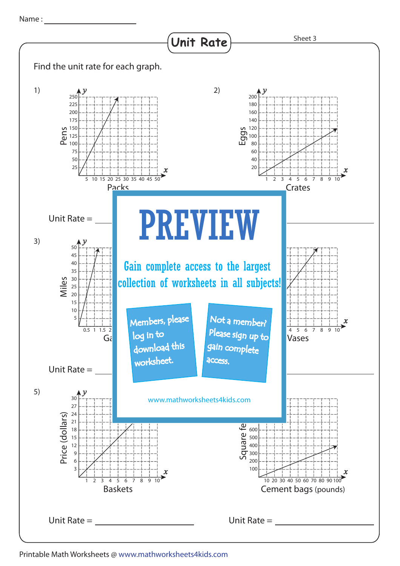